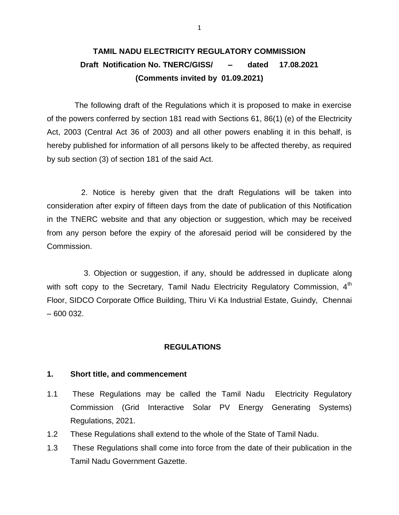# **TAMIL NADU ELECTRICITY REGULATORY COMMISSION Draft Notification No. TNERC/GISS/ – dated 17.08.2021 (Comments invited by 01.09.2021)**

The following draft of the Regulations which it is proposed to make in exercise of the powers conferred by section 181 read with Sections 61, 86(1) (e) of the Electricity Act, 2003 (Central Act 36 of 2003) and all other powers enabling it in this behalf, is hereby published for information of all persons likely to be affected thereby, as required by sub section (3) of section 181 of the said Act.

 2. Notice is hereby given that the draft Regulations will be taken into consideration after expiry of fifteen days from the date of publication of this Notification in the TNERC website and that any objection or suggestion, which may be received from any person before the expiry of the aforesaid period will be considered by the Commission.

 3. Objection or suggestion, if any, should be addressed in duplicate along with soft copy to the Secretary, Tamil Nadu Electricity Regulatory Commission,  $4<sup>th</sup>$ Floor, SIDCO Corporate Office Building, Thiru Vi Ka Industrial Estate, Guindy, Chennai – 600 032.

## **REGULATIONS**

#### **1. Short title, and commencement**

- 1.1 These Regulations may be called the Tamil Nadu Electricity Regulatory Commission (Grid Interactive Solar PV Energy Generating Systems) Regulations, 2021.
- 1.2 These Regulations shall extend to the whole of the State of Tamil Nadu.
- 1.3 These Regulations shall come into force from the date of their publication in the Tamil Nadu Government Gazette.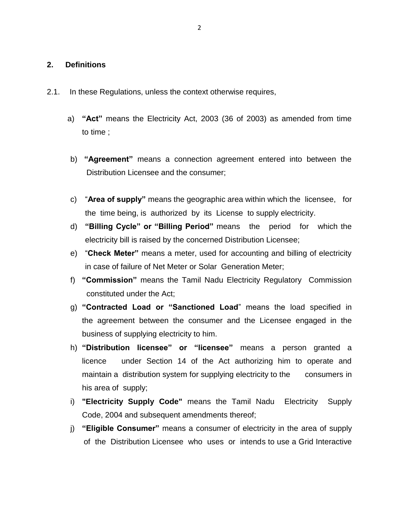## **2. Definitions**

- 2.1. In these Regulations, unless the context otherwise requires,
	- a) **"Act"** means the Electricity Act, 2003 (36 of 2003) as amended from time to time ;
	- b) **"Agreement"** means a connection agreement entered into between the Distribution Licensee and the consumer;
	- c) "**Area of supply"** means the geographic area within which the licensee, for the time being, is authorized by its License to supply electricity.
	- d) **"Billing Cycle" or "Billing Period"** means the period for which the electricity bill is raised by the concerned Distribution Licensee;
	- e) "**Check Meter"** means a meter, used for accounting and billing of electricity in case of failure of Net Meter or Solar Generation Meter;
	- f) **"Commission"** means the Tamil Nadu Electricity Regulatory Commission constituted under the Act;
	- g) **"Contracted Load or "Sanctioned Load**" means the load specified in the agreement between the consumer and the Licensee engaged in the business of supplying electricity to him.
	- h) **"Distribution licensee" or "licensee"** means a person granted a licence under Section 14 of the Act authorizing him to operate and maintain a distribution system for supplying electricity to the consumers in his area of supply;
	- i) **"Electricity Supply Code"** means the Tamil Nadu Electricity Supply Code, 2004 and subsequent amendments thereof;
	- j) **"Eligible Consumer"** means a consumer of electricity in the area of supply of the Distribution Licensee who uses or intends to use a Grid Interactive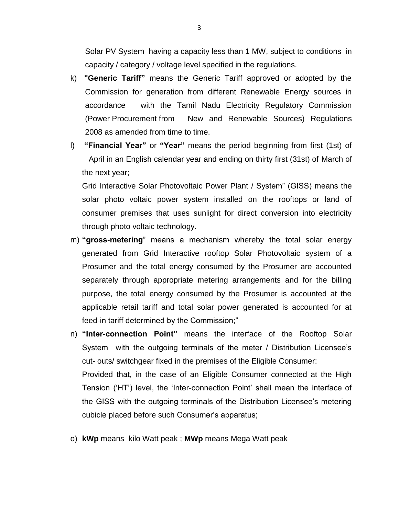Solar PV System having a capacity less than 1 MW, subject to conditions in capacity / category / voltage level specified in the regulations.

- k) **"Generic Tariff"** means the Generic Tariff approved or adopted by the Commission for generation from different Renewable Energy sources in accordance with the Tamil Nadu Electricity Regulatory Commission (Power Procurement from New and Renewable Sources) Regulations 2008 as amended from time to time.
- l) **"Financial Year"** or **"Year"** means the period beginning from first (1st) of April in an English calendar year and ending on thirty first (31st) of March of the next year;

Grid Interactive Solar Photovoltaic Power Plant / System" (GISS) means the solar photo voltaic power system installed on the rooftops or land of consumer premises that uses sunlight for direct conversion into electricity through photo voltaic technology.

- m) **"gross-metering**" means a mechanism whereby the total solar energy generated from Grid Interactive rooftop Solar Photovoltaic system of a Prosumer and the total energy consumed by the Prosumer are accounted separately through appropriate metering arrangements and for the billing purpose, the total energy consumed by the Prosumer is accounted at the applicable retail tariff and total solar power generated is accounted for at feed-in tariff determined by the Commission;"
- n) **"Inter-connection Point"** means the interface of the Rooftop Solar System with the outgoing terminals of the meter / Distribution Licensee's cut- outs/ switchgear fixed in the premises of the Eligible Consumer: Provided that, in the case of an Eligible Consumer connected at the High Tension ("HT") level, the "Inter-connection Point" shall mean the interface of the GISS with the outgoing terminals of the Distribution Licensee's metering cubicle placed before such Consumer"s apparatus;
- o) **kWp** means kilo Watt peak ; **MWp** means Mega Watt peak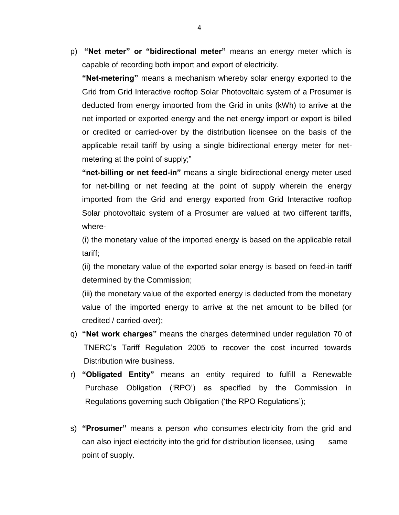p) **"Net meter" or "bidirectional meter"** means an energy meter which is capable of recording both import and export of electricity.

**"Net-metering"** means a mechanism whereby solar energy exported to the Grid from Grid Interactive rooftop Solar Photovoltaic system of a Prosumer is deducted from energy imported from the Grid in units (kWh) to arrive at the net imported or exported energy and the net energy import or export is billed or credited or carried-over by the distribution licensee on the basis of the applicable retail tariff by using a single bidirectional energy meter for netmetering at the point of supply;"

**"net-billing or net feed-in"** means a single bidirectional energy meter used for net-billing or net feeding at the point of supply wherein the energy imported from the Grid and energy exported from Grid Interactive rooftop Solar photovoltaic system of a Prosumer are valued at two different tariffs, where-

(i) the monetary value of the imported energy is based on the applicable retail tariff;

(ii) the monetary value of the exported solar energy is based on feed-in tariff determined by the Commission;

(iii) the monetary value of the exported energy is deducted from the monetary value of the imported energy to arrive at the net amount to be billed (or credited / carried-over);

- q) **"Net work charges"** means the charges determined under regulation 70 of TNERC"s Tariff Regulation 2005 to recover the cost incurred towards Distribution wire business.
- r) **"Obligated Entity"** means an entity required to fulfill a Renewable Purchase Obligation ("RPO") as specified by the Commission in Regulations governing such Obligation ("the RPO Regulations");
- s) **"Prosumer"** means a person who consumes electricity from the grid and can also inject electricity into the grid for distribution licensee, using same point of supply.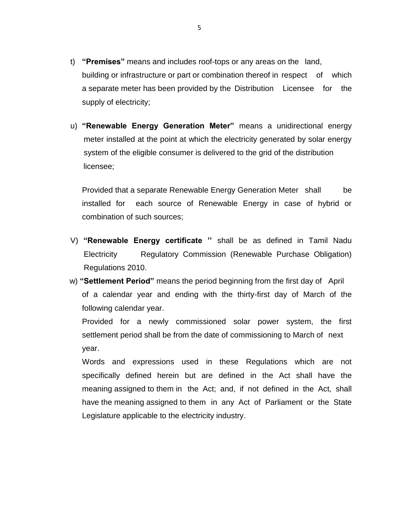- t) **"Premises"** means and includes roof-tops or any areas on the land, building or infrastructure or part or combination thereof in respect of which a separate meter has been provided by the Distribution Licensee for the supply of electricity;
- u) **"Renewable Energy Generation Meter"** means a unidirectional energy meter installed at the point at which the electricity generated by solar energy system of the eligible consumer is delivered to the grid of the distribution licensee;

Provided that a separate Renewable Energy Generation Meter shall be installed for each source of Renewable Energy in case of hybrid or combination of such sources;

- V) **"Renewable Energy certificate ''** shall be as defined in Tamil Nadu Electricity Regulatory Commission (Renewable Purchase Obligation) Regulations 2010.
- w) **"Settlement Period"** means the period beginning from the first day of April of a calendar year and ending with the thirty-first day of March of the following calendar year.

Provided for a newly commissioned solar power system, the first settlement period shall be from the date of commissioning to March of next year.

Words and expressions used in these Regulations which are not specifically defined herein but are defined in the Act shall have the meaning assigned to them in the Act; and, if not defined in the Act, shall have the meaning assigned to them in any Act of Parliament or the State Legislature applicable to the electricity industry.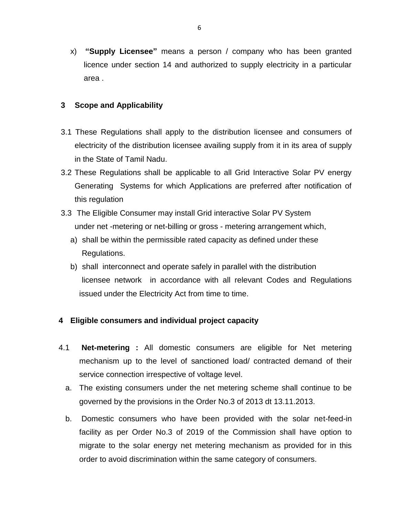x) **"Supply Licensee"** means a person / company who has been granted licence under section 14 and authorized to supply electricity in a particular area .

# **3 Scope and Applicability**

- 3.1 These Regulations shall apply to the distribution licensee and consumers of electricity of the distribution licensee availing supply from it in its area of supply in the State of Tamil Nadu.
- 3.2 These Regulations shall be applicable to all Grid Interactive Solar PV energy Generating Systems for which Applications are preferred after notification of this regulation
- 3.3 The Eligible Consumer may install Grid interactive Solar PV System under net -metering or net-billing or gross - metering arrangement which,
	- a) shall be within the permissible rated capacity as defined under these Regulations.
	- b) shall interconnect and operate safely in parallel with the distribution licensee network in accordance with all relevant Codes and Regulations issued under the Electricity Act from time to time.

# **4 Eligible consumers and individual project capacity**

- 4.1 **Net-metering :** All domestic consumers are eligible for Net metering mechanism up to the level of sanctioned load/ contracted demand of their service connection irrespective of voltage level.
	- a. The existing consumers under the net metering scheme shall continue to be governed by the provisions in the Order No.3 of 2013 dt 13.11.2013.
	- b. Domestic consumers who have been provided with the solar net-feed-in facility as per Order No.3 of 2019 of the Commission shall have option to migrate to the solar energy net metering mechanism as provided for in this order to avoid discrimination within the same category of consumers.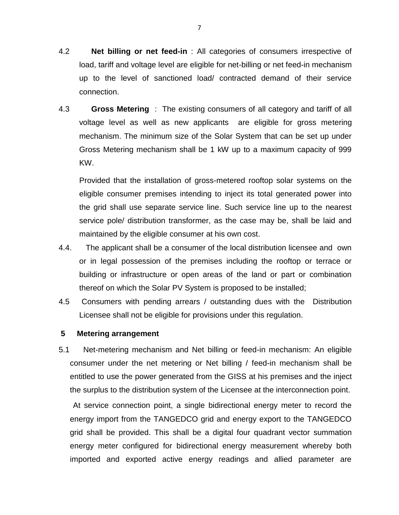- 4.2 **Net billing or net feed-in** : All categories of consumers irrespective of load, tariff and voltage level are eligible for net-billing or net feed-in mechanism up to the level of sanctioned load/ contracted demand of their service connection.
- 4.3 **Gross Metering** : The existing consumers of all category and tariff of all voltage level as well as new applicants are eligible for gross metering mechanism. The minimum size of the Solar System that can be set up under Gross Metering mechanism shall be 1 kW up to a maximum capacity of 999 KW.

Provided that the installation of gross-metered rooftop solar systems on the eligible consumer premises intending to inject its total generated power into the grid shall use separate service line. Such service line up to the nearest service pole/ distribution transformer, as the case may be, shall be laid and maintained by the eligible consumer at his own cost.

- 4.4. The applicant shall be a consumer of the local distribution licensee and own or in legal possession of the premises including the rooftop or terrace or building or infrastructure or open areas of the land or part or combination thereof on which the Solar PV System is proposed to be installed;
- 4.5 Consumers with pending arrears / outstanding dues with the Distribution Licensee shall not be eligible for provisions under this regulation.

# **5 Metering arrangement**

5.1 Net-metering mechanism and Net billing or feed-in mechanism: An eligible consumer under the net metering or Net billing / feed-in mechanism shall be entitled to use the power generated from the GISS at his premises and the inject the surplus to the distribution system of the Licensee at the interconnection point.

 At service connection point, a single bidirectional energy meter to record the energy import from the TANGEDCO grid and energy export to the TANGEDCO grid shall be provided. This shall be a digital four quadrant vector summation energy meter configured for bidirectional energy measurement whereby both imported and exported active energy readings and allied parameter are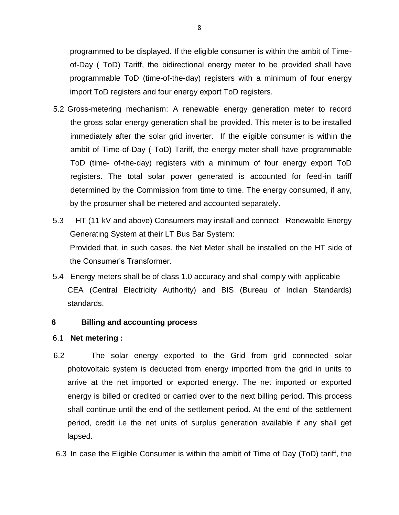programmed to be displayed. If the eligible consumer is within the ambit of Timeof-Day ( ToD) Tariff, the bidirectional energy meter to be provided shall have programmable ToD (time-of-the-day) registers with a minimum of four energy import ToD registers and four energy export ToD registers.

- 5.2 Gross-metering mechanism: A renewable energy generation meter to record the gross solar energy generation shall be provided. This meter is to be installed immediately after the solar grid inverter. If the eligible consumer is within the ambit of Time-of-Day ( ToD) Tariff, the energy meter shall have programmable ToD (time- of-the-day) registers with a minimum of four energy export ToD registers. The total solar power generated is accounted for feed-in tariff determined by the Commission from time to time. The energy consumed, if any, by the prosumer shall be metered and accounted separately.
- 5.3 HT (11 kV and above) Consumers may install and connect Renewable Energy Generating System at their LT Bus Bar System: Provided that, in such cases, the Net Meter shall be installed on the HT side of the Consumer"s Transformer.
- 5.4 Energy meters shall be of class 1.0 accuracy and shall comply with applicable CEA (Central Electricity Authority) and BIS (Bureau of Indian Standards) standards.

# **6 Billing and accounting process**

## 6.1 **Net metering :**

- 6.2 The solar energy exported to the Grid from grid connected solar photovoltaic system is deducted from energy imported from the grid in units to arrive at the net imported or exported energy. The net imported or exported energy is billed or credited or carried over to the next billing period. This process shall continue until the end of the settlement period. At the end of the settlement period, credit i.e the net units of surplus generation available if any shall get lapsed.
- 6.3 In case the Eligible Consumer is within the ambit of Time of Day (ToD) tariff, the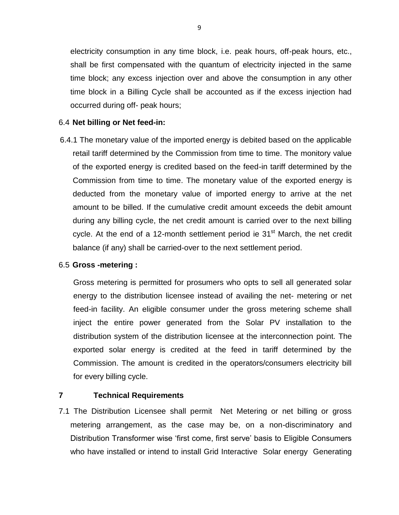electricity consumption in any time block, i.e. peak hours, off-peak hours, etc., shall be first compensated with the quantum of electricity injected in the same time block; any excess injection over and above the consumption in any other time block in a Billing Cycle shall be accounted as if the excess injection had occurred during off- peak hours;

## 6.4 **Net billing or Net feed-in:**

 6.4.1 The monetary value of the imported energy is debited based on the applicable retail tariff determined by the Commission from time to time. The monitory value of the exported energy is credited based on the feed-in tariff determined by the Commission from time to time. The monetary value of the exported energy is deducted from the monetary value of imported energy to arrive at the net amount to be billed. If the cumulative credit amount exceeds the debit amount during any billing cycle, the net credit amount is carried over to the next billing cycle. At the end of a 12-month settlement period ie  $31<sup>st</sup>$  March, the net credit balance (if any) shall be carried-over to the next settlement period.

# 6.5 **Gross -metering :**

Gross metering is permitted for prosumers who opts to sell all generated solar energy to the distribution licensee instead of availing the net- metering or net feed-in facility. An eligible consumer under the gross metering scheme shall inject the entire power generated from the Solar PV installation to the distribution system of the distribution licensee at the interconnection point. The exported solar energy is credited at the feed in tariff determined by the Commission. The amount is credited in the operators/consumers electricity bill for every billing cycle.

# **7 Technical Requirements**

7.1 The Distribution Licensee shall permit Net Metering or net billing or gross metering arrangement, as the case may be, on a non-discriminatory and Distribution Transformer wise "first come, first serve" basis to Eligible Consumers who have installed or intend to install Grid Interactive Solar energy Generating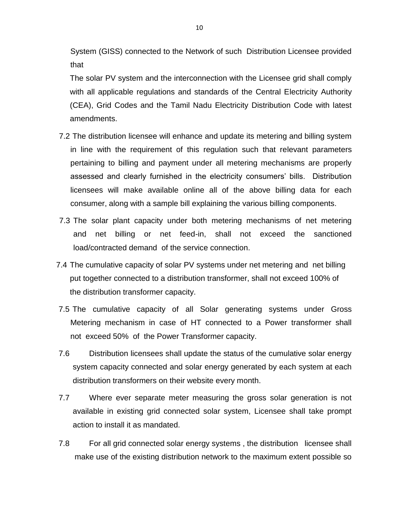System (GISS) connected to the Network of such Distribution Licensee provided that

The solar PV system and the interconnection with the Licensee grid shall comply with all applicable regulations and standards of the Central Electricity Authority (CEA), Grid Codes and the Tamil Nadu Electricity Distribution Code with latest amendments.

- 7.2 The distribution licensee will enhance and update its metering and billing system in line with the requirement of this regulation such that relevant parameters pertaining to billing and payment under all metering mechanisms are properly assessed and clearly furnished in the electricity consumers" bills. Distribution licensees will make available online all of the above billing data for each consumer, along with a sample bill explaining the various billing components.
- 7.3 The solar plant capacity under both metering mechanisms of net metering and net billing or net feed-in, shall not exceed the sanctioned load/contracted demand of the service connection.
- 7.4 The cumulative capacity of solar PV systems under net metering and net billing put together connected to a distribution transformer, shall not exceed 100% of the distribution transformer capacity.
- 7.5 The cumulative capacity of all Solar generating systems under Gross Metering mechanism in case of HT connected to a Power transformer shall not exceed 50% of the Power Transformer capacity.
- 7.6 Distribution licensees shall update the status of the cumulative solar energy system capacity connected and solar energy generated by each system at each distribution transformers on their website every month.
- 7.7 Where ever separate meter measuring the gross solar generation is not available in existing grid connected solar system, Licensee shall take prompt action to install it as mandated.
- 7.8 For all grid connected solar energy systems , the distribution licensee shall make use of the existing distribution network to the maximum extent possible so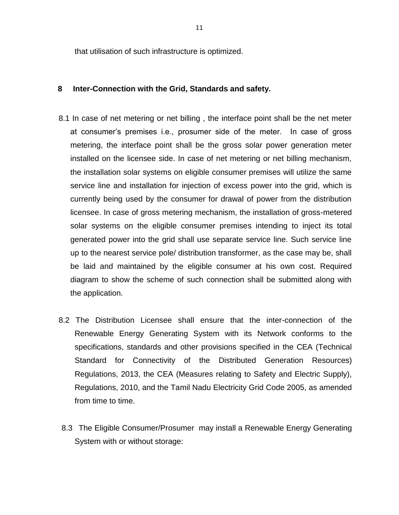that utilisation of such infrastructure is optimized.

## **8 Inter-Connection with the Grid, Standards and safety.**

- 8.1 In case of net metering or net billing , the interface point shall be the net meter at consumer"s premises i.e., prosumer side of the meter. In case of gross metering, the interface point shall be the gross solar power generation meter installed on the licensee side. In case of net metering or net billing mechanism, the installation solar systems on eligible consumer premises will utilize the same service line and installation for injection of excess power into the grid, which is currently being used by the consumer for drawal of power from the distribution licensee. In case of gross metering mechanism, the installation of gross-metered solar systems on the eligible consumer premises intending to inject its total generated power into the grid shall use separate service line. Such service line up to the nearest service pole/ distribution transformer, as the case may be, shall be laid and maintained by the eligible consumer at his own cost. Required diagram to show the scheme of such connection shall be submitted along with the application.
- 8.2 The Distribution Licensee shall ensure that the inter-connection of the Renewable Energy Generating System with its Network conforms to the specifications, standards and other provisions specified in the CEA (Technical Standard for Connectivity of the Distributed Generation Resources) Regulations, 2013, the CEA (Measures relating to Safety and Electric Supply), Regulations, 2010, and the Tamil Nadu Electricity Grid Code 2005, as amended from time to time.
- 8.3 The Eligible Consumer/Prosumer may install a Renewable Energy Generating System with or without storage: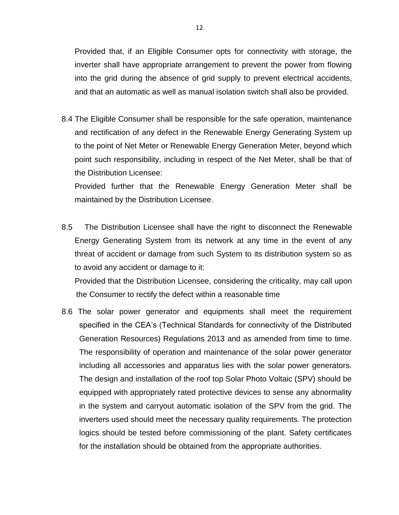Provided that, if an Eligible Consumer opts for connectivity with storage, the inverter shall have appropriate arrangement to prevent the power from flowing into the grid during the absence of grid supply to prevent electrical accidents, and that an automatic as well as manual isolation switch shall also be provided.

8.4 The Eligible Consumer shall be responsible for the safe operation, maintenance and rectification of any defect in the Renewable Energy Generating System up to the point of Net Meter or Renewable Energy Generation Meter, beyond which point such responsibility, including in respect of the Net Meter, shall be that of the Distribution Licensee:

Provided further that the Renewable Energy Generation Meter shall be maintained by the Distribution Licensee.

8.5 The Distribution Licensee shall have the right to disconnect the Renewable Energy Generating System from its network at any time in the event of any threat of accident or damage from such System to its distribution system so as to avoid any accident or damage to it:

Provided that the Distribution Licensee, considering the criticality, may call upon the Consumer to rectify the defect within a reasonable time

8.6 The solar power generator and equipments shall meet the requirement specified in the CEA"s (Technical Standards for connectivity of the Distributed Generation Resources) Regulations 2013 and as amended from time to time. The responsibility of operation and maintenance of the solar power generator including all accessories and apparatus lies with the solar power generators. The design and installation of the roof top Solar Photo Voltaic (SPV) should be equipped with appropriately rated protective devices to sense any abnormality in the system and carryout automatic isolation of the SPV from the grid. The inverters used should meet the necessary quality requirements. The protection logics should be tested before commissioning of the plant. Safety certificates for the installation should be obtained from the appropriate authorities.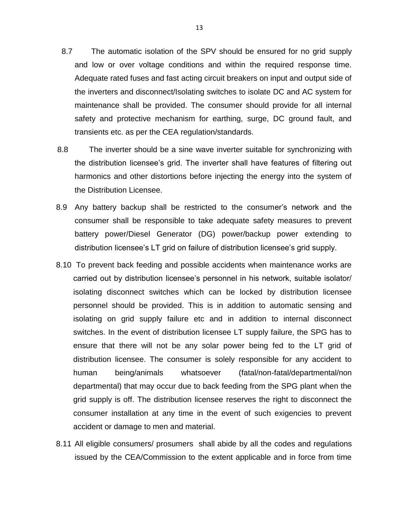- 8.7 The automatic isolation of the SPV should be ensured for no grid supply and low or over voltage conditions and within the required response time. Adequate rated fuses and fast acting circuit breakers on input and output side of the inverters and disconnect/Isolating switches to isolate DC and AC system for maintenance shall be provided. The consumer should provide for all internal safety and protective mechanism for earthing, surge, DC ground fault, and transients etc. as per the CEA regulation/standards.
- 8.8 The inverter should be a sine wave inverter suitable for synchronizing with the distribution licensee"s grid. The inverter shall have features of filtering out harmonics and other distortions before injecting the energy into the system of the Distribution Licensee.
- 8.9 Any battery backup shall be restricted to the consumer's network and the consumer shall be responsible to take adequate safety measures to prevent battery power/Diesel Generator (DG) power/backup power extending to distribution licensee's LT grid on failure of distribution licensee's grid supply.
- 8.10 To prevent back feeding and possible accidents when maintenance works are carried out by distribution licensee's personnel in his network, suitable isolator/ isolating disconnect switches which can be locked by distribution licensee personnel should be provided. This is in addition to automatic sensing and isolating on grid supply failure etc and in addition to internal disconnect switches. In the event of distribution licensee LT supply failure, the SPG has to ensure that there will not be any solar power being fed to the LT grid of distribution licensee. The consumer is solely responsible for any accident to human being/animals whatsoever (fatal/non-fatal/departmental/non departmental) that may occur due to back feeding from the SPG plant when the grid supply is off. The distribution licensee reserves the right to disconnect the consumer installation at any time in the event of such exigencies to prevent accident or damage to men and material.
- 8.11 All eligible consumers/ prosumers shall abide by all the codes and regulations issued by the CEA/Commission to the extent applicable and in force from time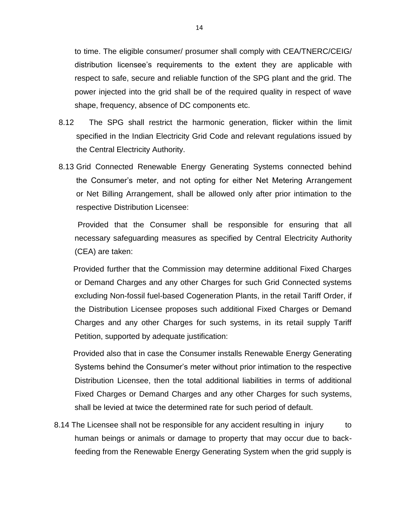to time. The eligible consumer/ prosumer shall comply with CEA/TNERC/CEIG/ distribution licensee"s requirements to the extent they are applicable with respect to safe, secure and reliable function of the SPG plant and the grid. The power injected into the grid shall be of the required quality in respect of wave shape, frequency, absence of DC components etc.

- 8.12 The SPG shall restrict the harmonic generation, flicker within the limit specified in the Indian Electricity Grid Code and relevant regulations issued by the Central Electricity Authority.
- 8.13 Grid Connected Renewable Energy Generating Systems connected behind the Consumer"s meter, and not opting for either Net Metering Arrangement or Net Billing Arrangement, shall be allowed only after prior intimation to the respective Distribution Licensee:

 Provided that the Consumer shall be responsible for ensuring that all necessary safeguarding measures as specified by Central Electricity Authority (CEA) are taken:

Provided further that the Commission may determine additional Fixed Charges or Demand Charges and any other Charges for such Grid Connected systems excluding Non-fossil fuel-based Cogeneration Plants, in the retail Tariff Order, if the Distribution Licensee proposes such additional Fixed Charges or Demand Charges and any other Charges for such systems, in its retail supply Tariff Petition, supported by adequate justification:

Provided also that in case the Consumer installs Renewable Energy Generating Systems behind the Consumer"s meter without prior intimation to the respective Distribution Licensee, then the total additional liabilities in terms of additional Fixed Charges or Demand Charges and any other Charges for such systems, shall be levied at twice the determined rate for such period of default.

8.14 The Licensee shall not be responsible for any accident resulting in injury to human beings or animals or damage to property that may occur due to backfeeding from the Renewable Energy Generating System when the grid supply is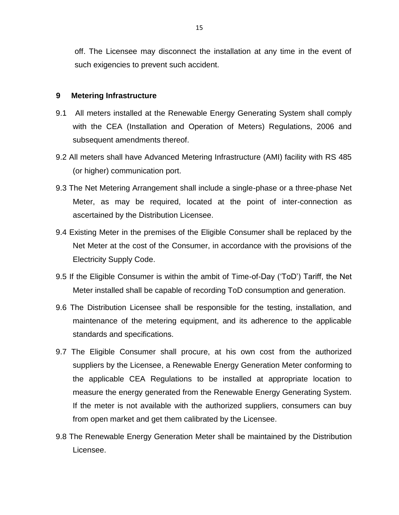off. The Licensee may disconnect the installation at any time in the event of such exigencies to prevent such accident.

## **9 Metering Infrastructure**

- 9.1 All meters installed at the Renewable Energy Generating System shall comply with the CEA (Installation and Operation of Meters) Regulations, 2006 and subsequent amendments thereof.
- 9.2 All meters shall have Advanced Metering Infrastructure (AMI) facility with RS 485 (or higher) communication port.
- 9.3 The Net Metering Arrangement shall include a single-phase or a three-phase Net Meter, as may be required, located at the point of inter-connection as ascertained by the Distribution Licensee.
- 9.4 Existing Meter in the premises of the Eligible Consumer shall be replaced by the Net Meter at the cost of the Consumer, in accordance with the provisions of the Electricity Supply Code.
- 9.5 If the Eligible Consumer is within the ambit of Time-of-Day ("ToD") Tariff, the Net Meter installed shall be capable of recording ToD consumption and generation.
- 9.6 The Distribution Licensee shall be responsible for the testing, installation, and maintenance of the metering equipment, and its adherence to the applicable standards and specifications.
- 9.7 The Eligible Consumer shall procure, at his own cost from the authorized suppliers by the Licensee, a Renewable Energy Generation Meter conforming to the applicable CEA Regulations to be installed at appropriate location to measure the energy generated from the Renewable Energy Generating System. If the meter is not available with the authorized suppliers, consumers can buy from open market and get them calibrated by the Licensee.
- 9.8 The Renewable Energy Generation Meter shall be maintained by the Distribution Licensee.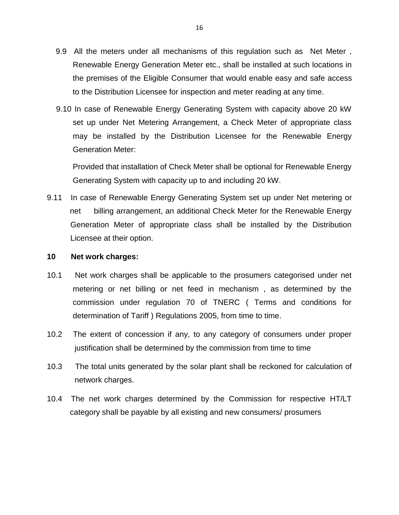- 9.9 All the meters under all mechanisms of this regulation such as Net Meter , Renewable Energy Generation Meter etc., shall be installed at such locations in the premises of the Eligible Consumer that would enable easy and safe access to the Distribution Licensee for inspection and meter reading at any time.
- 9.10 In case of Renewable Energy Generating System with capacity above 20 kW set up under Net Metering Arrangement, a Check Meter of appropriate class may be installed by the Distribution Licensee for the Renewable Energy Generation Meter:

Provided that installation of Check Meter shall be optional for Renewable Energy Generating System with capacity up to and including 20 kW.

9.11 In case of Renewable Energy Generating System set up under Net metering or net billing arrangement, an additional Check Meter for the Renewable Energy Generation Meter of appropriate class shall be installed by the Distribution Licensee at their option.

## **10 Net work charges:**

- 10.1 Net work charges shall be applicable to the prosumers categorised under net metering or net billing or net feed in mechanism , as determined by the commission under regulation 70 of TNERC ( Terms and conditions for determination of Tariff ) Regulations 2005, from time to time.
- 10.2 The extent of concession if any, to any category of consumers under proper justification shall be determined by the commission from time to time
- 10.3 The total units generated by the solar plant shall be reckoned for calculation of network charges.
- 10.4 The net work charges determined by the Commission for respective HT/LT category shall be payable by all existing and new consumers/ prosumers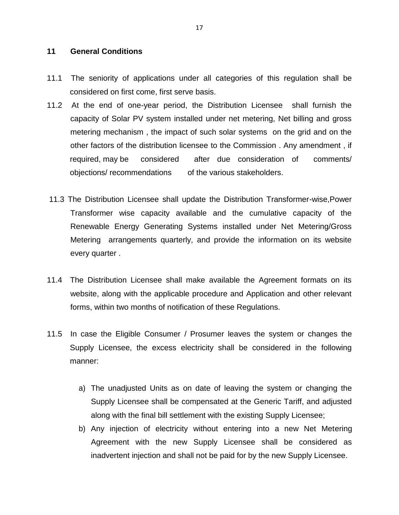## **11 General Conditions**

- 11.1 The seniority of applications under all categories of this regulation shall be considered on first come, first serve basis.
- 11.2 At the end of one-year period, the Distribution Licensee shall furnish the capacity of Solar PV system installed under net metering, Net billing and gross metering mechanism , the impact of such solar systems on the grid and on the other factors of the distribution licensee to the Commission . Any amendment , if required, may be considered after due consideration of comments/ objections/ recommendations of the various stakeholders.
- 11.3 The Distribution Licensee shall update the Distribution Transformer-wise,Power Transformer wise capacity available and the cumulative capacity of the Renewable Energy Generating Systems installed under Net Metering/Gross Metering arrangements quarterly, and provide the information on its website every quarter .
- 11.4 The Distribution Licensee shall make available the Agreement formats on its website, along with the applicable procedure and Application and other relevant forms, within two months of notification of these Regulations.
- 11.5 In case the Eligible Consumer / Prosumer leaves the system or changes the Supply Licensee, the excess electricity shall be considered in the following manner:
	- a) The unadjusted Units as on date of leaving the system or changing the Supply Licensee shall be compensated at the Generic Tariff, and adjusted along with the final bill settlement with the existing Supply Licensee;
	- b) Any injection of electricity without entering into a new Net Metering Agreement with the new Supply Licensee shall be considered as inadvertent injection and shall not be paid for by the new Supply Licensee.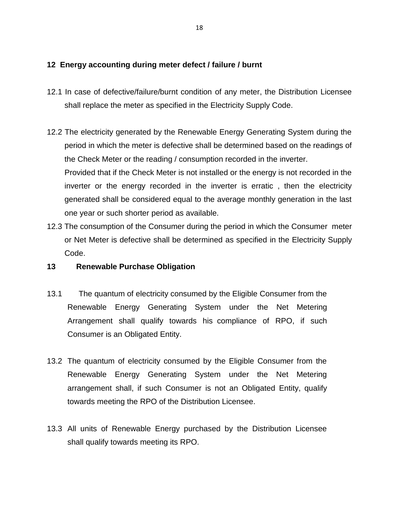# **12 Energy accounting during meter defect / failure / burnt**

- 12.1 In case of defective/failure/burnt condition of any meter, the Distribution Licensee shall replace the meter as specified in the Electricity Supply Code.
- 12.2 The electricity generated by the Renewable Energy Generating System during the period in which the meter is defective shall be determined based on the readings of the Check Meter or the reading / consumption recorded in the inverter. Provided that if the Check Meter is not installed or the energy is not recorded in the inverter or the energy recorded in the inverter is erratic , then the electricity generated shall be considered equal to the average monthly generation in the last one year or such shorter period as available.
- 12.3 The consumption of the Consumer during the period in which the Consumer meter or Net Meter is defective shall be determined as specified in the Electricity Supply Code.
- **13 Renewable Purchase Obligation**
- 13.1 The quantum of electricity consumed by the Eligible Consumer from the Renewable Energy Generating System under the Net Metering Arrangement shall qualify towards his compliance of RPO, if such Consumer is an Obligated Entity.
- 13.2 The quantum of electricity consumed by the Eligible Consumer from the Renewable Energy Generating System under the Net Metering arrangement shall, if such Consumer is not an Obligated Entity, qualify towards meeting the RPO of the Distribution Licensee.
- 13.3 All units of Renewable Energy purchased by the Distribution Licensee shall qualify towards meeting its RPO.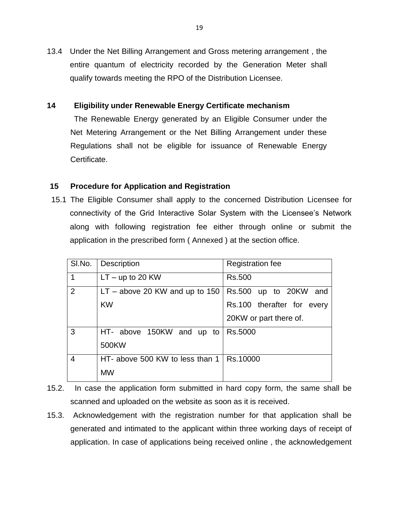13.4 Under the Net Billing Arrangement and Gross metering arrangement , the entire quantum of electricity recorded by the Generation Meter shall qualify towards meeting the RPO of the Distribution Licensee.

# **14 Eligibility under Renewable Energy Certificate mechanism**

The Renewable Energy generated by an Eligible Consumer under the Net Metering Arrangement or the Net Billing Arrangement under these Regulations shall not be eligible for issuance of Renewable Energy Certificate.

# **15 Procedure for Application and Registration**

 15.1 The Eligible Consumer shall apply to the concerned Distribution Licensee for connectivity of the Grid Interactive Solar System with the Licensee"s Network along with following registration fee either through online or submit the application in the prescribed form ( Annexed ) at the section office.

| SI.No.         | Description                      | <b>Registration fee</b>    |
|----------------|----------------------------------|----------------------------|
| 1              | $LT - up to 20 KW$               | Rs.500                     |
| 2              | $LT - above 20$ KW and up to 150 | Rs.500 up to 20KW and      |
|                | <b>KW</b>                        | Rs.100 therafter for every |
|                |                                  | 20KW or part there of.     |
| 3              | HT- above 150KW and up to        | Rs.5000                    |
|                | 500KW                            |                            |
| $\overline{4}$ | HT- above 500 KW to less than 1  | Rs.10000                   |
|                | <b>MW</b>                        |                            |

- 15.2. In case the application form submitted in hard copy form, the same shall be scanned and uploaded on the website as soon as it is received.
- 15.3. Acknowledgement with the registration number for that application shall be generated and intimated to the applicant within three working days of receipt of application. In case of applications being received online , the acknowledgement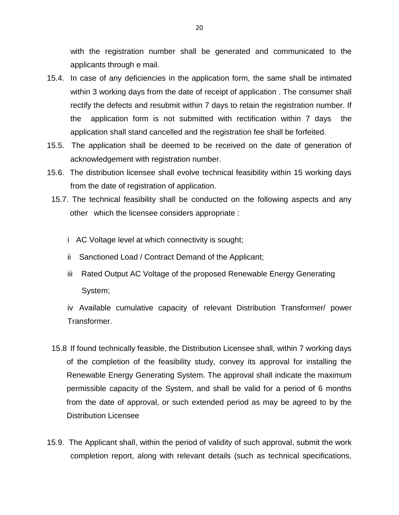with the registration number shall be generated and communicated to the applicants through e mail.

- 15.4. In case of any deficiencies in the application form, the same shall be intimated within 3 working days from the date of receipt of application . The consumer shall rectify the defects and resubmit within 7 days to retain the registration number. If the application form is not submitted with rectification within 7 days the application shall stand cancelled and the registration fee shall be forfeited.
- 15.5. The application shall be deemed to be received on the date of generation of acknowledgement with registration number.
- 15.6. The distribution licensee shall evolve technical feasibility within 15 working days from the date of registration of application.
	- 15.7. The technical feasibility shall be conducted on the following aspects and any other which the licensee considers appropriate :
		- i AC Voltage level at which connectivity is sought;
		- ii Sanctioned Load / Contract Demand of the Applicant;
		- iii Rated Output AC Voltage of the proposed Renewable Energy Generating System;

iv Available cumulative capacity of relevant Distribution Transformer/ power Transformer.

- 15.8 If found technically feasible, the Distribution Licensee shall, within 7 working days of the completion of the feasibility study, convey its approval for installing the Renewable Energy Generating System. The approval shall indicate the maximum permissible capacity of the System, and shall be valid for a period of 6 months from the date of approval, or such extended period as may be agreed to by the Distribution Licensee
- 15.9. The Applicant shall, within the period of validity of such approval, submit the work completion report, along with relevant details (such as technical specifications,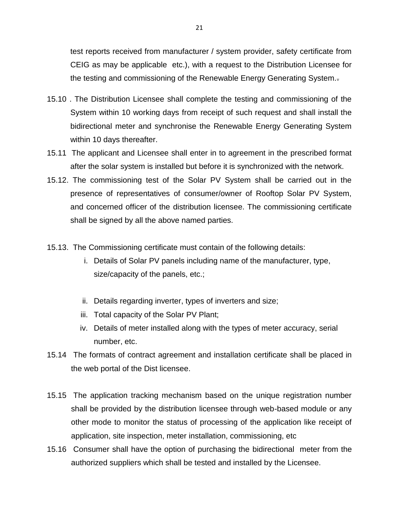test reports received from manufacturer / system provider, safety certificate from CEIG as may be applicable etc.), with a request to the Distribution Licensee for the testing and commissioning of the Renewable Energy Generating System..

- 15.10 . The Distribution Licensee shall complete the testing and commissioning of the System within 10 working days from receipt of such request and shall install the bidirectional meter and synchronise the Renewable Energy Generating System within 10 days thereafter.
- 15.11 The applicant and Licensee shall enter in to agreement in the prescribed format after the solar system is installed but before it is synchronized with the network.
- 15.12. The commissioning test of the Solar PV System shall be carried out in the presence of representatives of consumer/owner of Rooftop Solar PV System, and concerned officer of the distribution licensee. The commissioning certificate shall be signed by all the above named parties.
- 15.13. The Commissioning certificate must contain of the following details:
	- i. Details of Solar PV panels including name of the manufacturer, type, size/capacity of the panels, etc.;
	- ii. Details regarding inverter, types of inverters and size;
	- iii. Total capacity of the Solar PV Plant;
	- iv. Details of meter installed along with the types of meter accuracy, serial number, etc.
- 15.14 The formats of contract agreement and installation certificate shall be placed in the web portal of the Dist licensee.
- 15.15 The application tracking mechanism based on the unique registration number shall be provided by the distribution licensee through web-based module or any other mode to monitor the status of processing of the application like receipt of application, site inspection, meter installation, commissioning, etc
- 15.16 Consumer shall have the option of purchasing the bidirectional meter from the authorized suppliers which shall be tested and installed by the Licensee.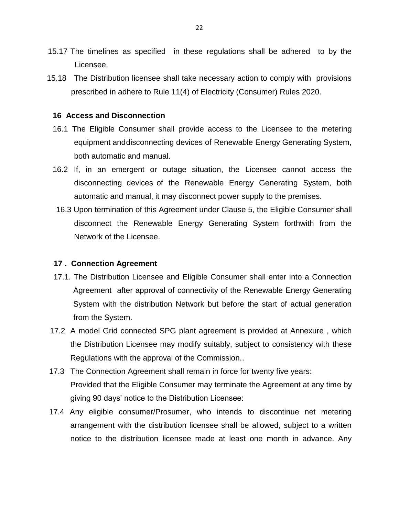- 15.17 The timelines as specified in these regulations shall be adhered to by the Licensee.
- 15.18 The Distribution licensee shall take necessary action to comply with provisions prescribed in adhere to Rule 11(4) of Electricity (Consumer) Rules 2020.

#### **16 Access and Disconnection**

- 16.1 The Eligible Consumer shall provide access to the Licensee to the metering equipment anddisconnecting devices of Renewable Energy Generating System, both automatic and manual.
- 16.2 If, in an emergent or outage situation, the Licensee cannot access the disconnecting devices of the Renewable Energy Generating System, both automatic and manual, it may disconnect power supply to the premises.
- 16.3 Upon termination of this Agreement under Clause 5, the Eligible Consumer shall disconnect the Renewable Energy Generating System forthwith from the Network of the Licensee.

## **17 . Connection Agreement**

- 17.1. The Distribution Licensee and Eligible Consumer shall enter into a Connection Agreement after approval of connectivity of the Renewable Energy Generating System with the distribution Network but before the start of actual generation from the System.
- 17.2 A model Grid connected SPG plant agreement is provided at Annexure , which the Distribution Licensee may modify suitably, subject to consistency with these Regulations with the approval of the Commission..
- 17.3 The Connection Agreement shall remain in force for twenty five years: Provided that the Eligible Consumer may terminate the Agreement at any time by giving 90 days" notice to the Distribution Licensee:
- 17.4 Any eligible consumer/Prosumer, who intends to discontinue net metering arrangement with the distribution licensee shall be allowed, subject to a written notice to the distribution licensee made at least one month in advance. Any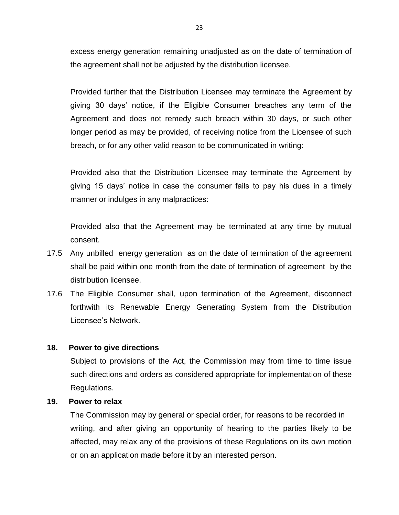excess energy generation remaining unadjusted as on the date of termination of the agreement shall not be adjusted by the distribution licensee.

Provided further that the Distribution Licensee may terminate the Agreement by giving 30 days" notice, if the Eligible Consumer breaches any term of the Agreement and does not remedy such breach within 30 days, or such other longer period as may be provided, of receiving notice from the Licensee of such breach, or for any other valid reason to be communicated in writing:

Provided also that the Distribution Licensee may terminate the Agreement by giving 15 days" notice in case the consumer fails to pay his dues in a timely manner or indulges in any malpractices:

Provided also that the Agreement may be terminated at any time by mutual consent.

- 17.5 Any unbilled energy generation as on the date of termination of the agreement shall be paid within one month from the date of termination of agreement by the distribution licensee.
- 17.6 The Eligible Consumer shall, upon termination of the Agreement, disconnect forthwith its Renewable Energy Generating System from the Distribution Licensee"s Network.

## **18. Power to give directions**

Subject to provisions of the Act, the Commission may from time to time issue such directions and orders as considered appropriate for implementation of these Regulations.

# **19. Power to relax**

The Commission may by general or special order, for reasons to be recorded in writing, and after giving an opportunity of hearing to the parties likely to be affected, may relax any of the provisions of these Regulations on its own motion or on an application made before it by an interested person.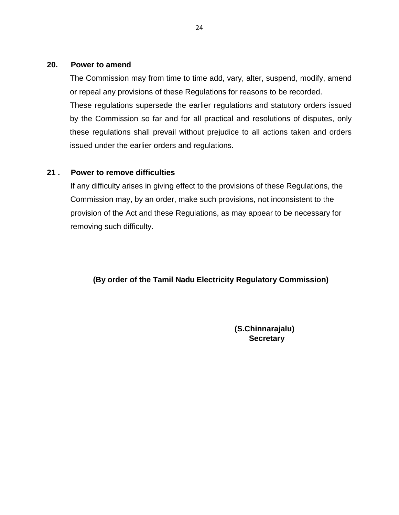# **20. Power to amend**

The Commission may from time to time add, vary, alter, suspend, modify, amend or repeal any provisions of these Regulations for reasons to be recorded.

These regulations supersede the earlier regulations and statutory orders issued by the Commission so far and for all practical and resolutions of disputes, only these regulations shall prevail without prejudice to all actions taken and orders issued under the earlier orders and regulations.

# **21 . Power to remove difficulties**

If any difficulty arises in giving effect to the provisions of these Regulations, the Commission may, by an order, make such provisions, not inconsistent to the provision of the Act and these Regulations, as may appear to be necessary for removing such difficulty.

# **(By order of the Tamil Nadu Electricity Regulatory Commission)**

**(S.Chinnarajalu) Secretary**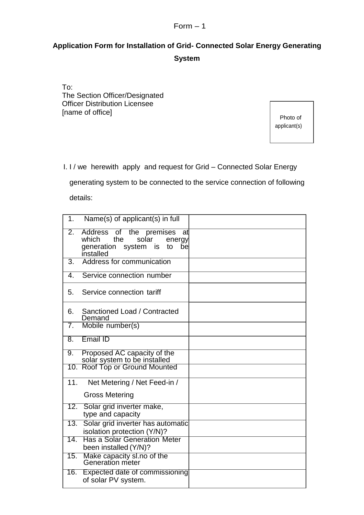# $Form - 1$

# **Application Form for Installation of Grid- Connected Solar Energy Generating System**

To: The Section Officer/Designated Officer Distribution Licensee [name of office]

 Photo of applicant(s)

I. I / we herewith apply and request for Grid – Connected Solar Energy

 generating system to be connected to the service connection of following details:

| 1.               | Name(s) of applicant(s) in full                                                                                    |  |
|------------------|--------------------------------------------------------------------------------------------------------------------|--|
| $\overline{2}$ . | Address of the premises<br>at<br>the<br>which<br>solar<br>energy<br>generation system is<br>to<br>bel<br>installed |  |
| $\overline{3}$ . | Address for communication                                                                                          |  |
| 4.               | Service connection number                                                                                          |  |
| 5.               | Service connection tariff                                                                                          |  |
| 6.               | Sanctioned Load / Contracted<br>Demand                                                                             |  |
| $\overline{7}$ . | Mobile number(s)                                                                                                   |  |
| 8.               | Email ID                                                                                                           |  |
| 9.               | Proposed AC capacity of the<br>solar system to be installed                                                        |  |
|                  | 10. Roof Top or Ground Mounted                                                                                     |  |
| 11.              | Net Metering / Net Feed-in /                                                                                       |  |
|                  | <b>Gross Metering</b>                                                                                              |  |
| $\overline{12.}$ | Solar grid inverter make,<br>type and capacity                                                                     |  |
| 13.              | Solar grid inverter has automatic<br>isolation protection (Y/N)?                                                   |  |
| 14.              | <b>Has a Solar Generation Meter</b><br>been installed (Y/N)?                                                       |  |
| 15.              | Make capacity sl.no of the<br>Generation meter                                                                     |  |
| 16.              | Expected date of commissioning<br>of solar PV system.                                                              |  |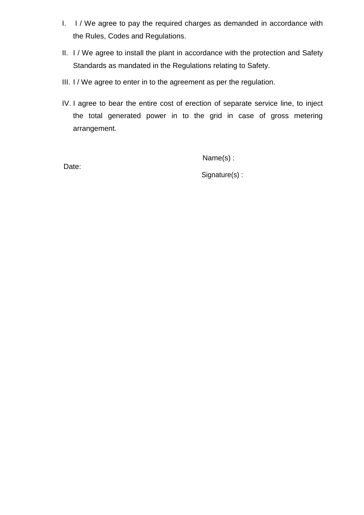- I. I / We agree to pay the required charges as demanded in accordance with the Rules, Codes and Regulations.
- II. I / We agree to install the plant in accordance with the protection and Safety Standards as mandated in the Regulations relating to Safety.
- III. I / We agree to enter in to the agreement as per the regulation.
- IV. I agree to bear the entire cost of erection of separate service line, to inject the total generated power in to the grid in case of gross metering arrangement.

Name(s) :

Date:

Signature(s) :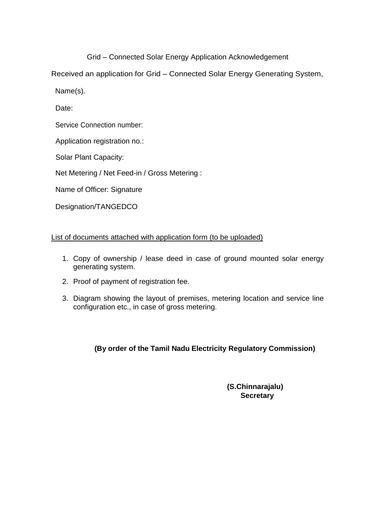Grid – Connected Solar Energy Application Acknowledgement

Received an application for Grid – Connected Solar Energy Generating System,

Name(s).

Date:

Service Connection number:

Application registration no.:

Solar Plant Capacity:

Net Metering / Net Feed-in / Gross Metering :

Name of Officer: Signature

Designation/TANGEDCO

List of documents attached with application form (to be uploaded)

- 1. Copy of ownership / lease deed in case of ground mounted solar energy generating system.
- 2. Proof of payment of registration fee.
- 3. Diagram showing the layout of premises, metering location and service line configuration etc., in case of gross metering.

**(By order of the Tamil Nadu Electricity Regulatory Commission)**

**(S.Chinnarajalu) Secretary**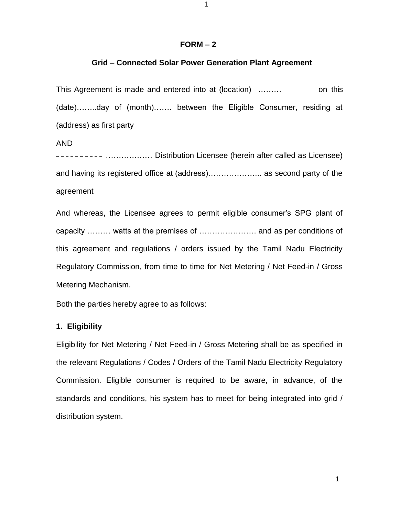#### **FORM – 2**

#### **Grid – Connected Solar Power Generation Plant Agreement**

This Agreement is made and entered into at (location) ……… on this (date)……..day of (month)……. between the Eligible Consumer, residing at (address) as first party

AND

……………… Distribution Licensee (herein after called as Licensee) and having its registered office at (address)………………... as second party of the agreement

And whereas, the Licensee agrees to permit eligible consumer's SPG plant of capacity ……… watts at the premises of …………………. and as per conditions of this agreement and regulations / orders issued by the Tamil Nadu Electricity Regulatory Commission, from time to time for Net Metering / Net Feed-in / Gross Metering Mechanism.

Both the parties hereby agree to as follows:

## **1. Eligibility**

Eligibility for Net Metering / Net Feed-in / Gross Metering shall be as specified in the relevant Regulations / Codes / Orders of the Tamil Nadu Electricity Regulatory Commission. Eligible consumer is required to be aware, in advance, of the standards and conditions, his system has to meet for being integrated into grid / distribution system.

1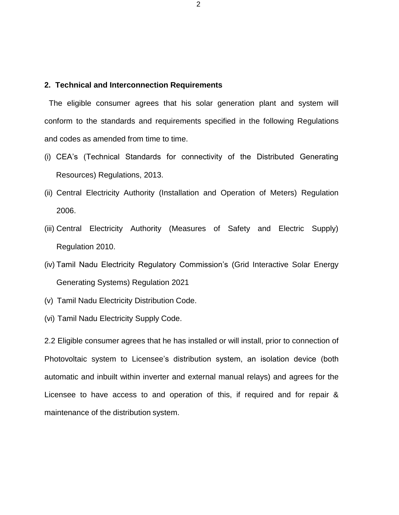#### **2. Technical and Interconnection Requirements**

The eligible consumer agrees that his solar generation plant and system will conform to the standards and requirements specified in the following Regulations and codes as amended from time to time.

- (i) CEA's (Technical Standards for connectivity of the Distributed Generating Resources) Regulations, 2013.
- (ii) Central Electricity Authority (Installation and Operation of Meters) Regulation 2006.
- (iii) Central Electricity Authority (Measures of Safety and Electric Supply) Regulation 2010.
- (iv) Tamil Nadu Electricity Regulatory Commission's (Grid Interactive Solar Energy Generating Systems) Regulation 2021
- (v) Tamil Nadu Electricity Distribution Code.
- (vi) Tamil Nadu Electricity Supply Code.

2.2 Eligible consumer agrees that he has installed or will install, prior to connection of Photovoltaic system to Licensee's distribution system, an isolation device (both automatic and inbuilt within inverter and external manual relays) and agrees for the Licensee to have access to and operation of this, if required and for repair & maintenance of the distribution system.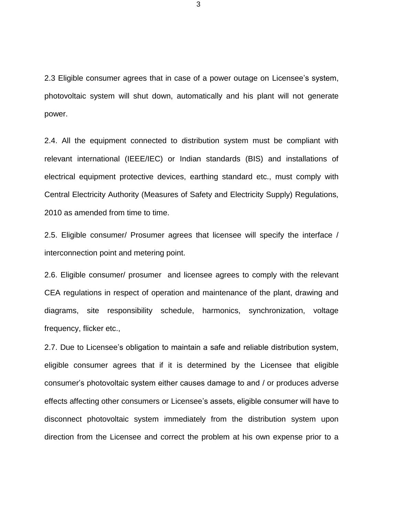2.3 Eligible consumer agrees that in case of a power outage on Licensee's system, photovoltaic system will shut down, automatically and his plant will not generate power.

2.4. All the equipment connected to distribution system must be compliant with relevant international (IEEE/IEC) or Indian standards (BIS) and installations of electrical equipment protective devices, earthing standard etc., must comply with Central Electricity Authority (Measures of Safety and Electricity Supply) Regulations, 2010 as amended from time to time.

2.5. Eligible consumer/ Prosumer agrees that licensee will specify the interface / interconnection point and metering point.

2.6. Eligible consumer/ prosumer and licensee agrees to comply with the relevant CEA regulations in respect of operation and maintenance of the plant, drawing and diagrams, site responsibility schedule, harmonics, synchronization, voltage frequency, flicker etc.,

2.7. Due to Licensee's obligation to maintain a safe and reliable distribution system, eligible consumer agrees that if it is determined by the Licensee that eligible consumer's photovoltaic system either causes damage to and / or produces adverse effects affecting other consumers or Licensee's assets, eligible consumer will have to disconnect photovoltaic system immediately from the distribution system upon direction from the Licensee and correct the problem at his own expense prior to a

3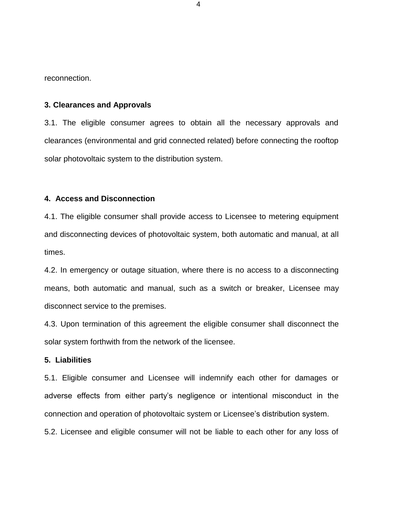reconnection.

#### **3. Clearances and Approvals**

3.1. The eligible consumer agrees to obtain all the necessary approvals and clearances (environmental and grid connected related) before connecting the rooftop solar photovoltaic system to the distribution system.

#### **4. Access and Disconnection**

4.1. The eligible consumer shall provide access to Licensee to metering equipment and disconnecting devices of photovoltaic system, both automatic and manual, at all times.

4.2. In emergency or outage situation, where there is no access to a disconnecting means, both automatic and manual, such as a switch or breaker, Licensee may disconnect service to the premises.

4.3. Upon termination of this agreement the eligible consumer shall disconnect the solar system forthwith from the network of the licensee.

#### **5. Liabilities**

5.1. Eligible consumer and Licensee will indemnify each other for damages or adverse effects from either party's negligence or intentional misconduct in the connection and operation of photovoltaic system or Licensee's distribution system.

5.2. Licensee and eligible consumer will not be liable to each other for any loss of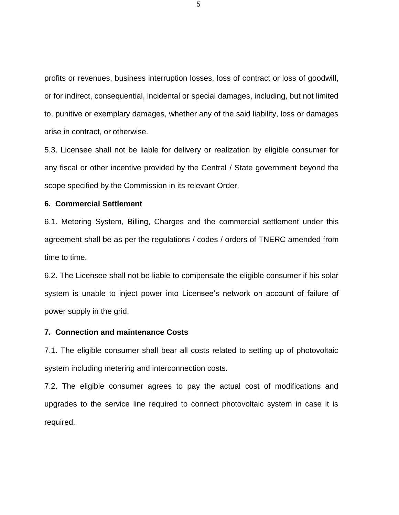profits or revenues, business interruption losses, loss of contract or loss of goodwill, or for indirect, consequential, incidental or special damages, including, but not limited to, punitive or exemplary damages, whether any of the said liability, loss or damages arise in contract, or otherwise.

5.3. Licensee shall not be liable for delivery or realization by eligible consumer for any fiscal or other incentive provided by the Central / State government beyond the scope specified by the Commission in its relevant Order.

#### **6. Commercial Settlement**

6.1. Metering System, Billing, Charges and the commercial settlement under this agreement shall be as per the regulations / codes / orders of TNERC amended from time to time.

6.2. The Licensee shall not be liable to compensate the eligible consumer if his solar system is unable to inject power into Licensee's network on account of failure of power supply in the grid.

#### **7. Connection and maintenance Costs**

7.1. The eligible consumer shall bear all costs related to setting up of photovoltaic system including metering and interconnection costs.

7.2. The eligible consumer agrees to pay the actual cost of modifications and upgrades to the service line required to connect photovoltaic system in case it is required.

5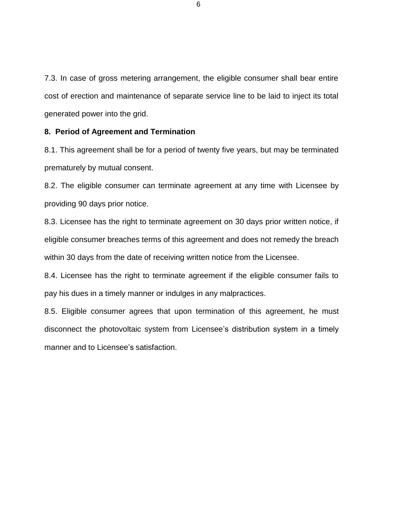7.3. In case of gross metering arrangement, the eligible consumer shall bear entire cost of erection and maintenance of separate service line to be laid to inject its total generated power into the grid.

#### **8. Period of Agreement and Termination**

8.1. This agreement shall be for a period of twenty five years, but may be terminated prematurely by mutual consent.

8.2. The eligible consumer can terminate agreement at any time with Licensee by providing 90 days prior notice.

8.3. Licensee has the right to terminate agreement on 30 days prior written notice, if eligible consumer breaches terms of this agreement and does not remedy the breach within 30 days from the date of receiving written notice from the Licensee.

8.4. Licensee has the right to terminate agreement if the eligible consumer fails to pay his dues in a timely manner or indulges in any malpractices.

8.5. Eligible consumer agrees that upon termination of this agreement, he must disconnect the photovoltaic system from Licensee's distribution system in a timely manner and to Licensee's satisfaction.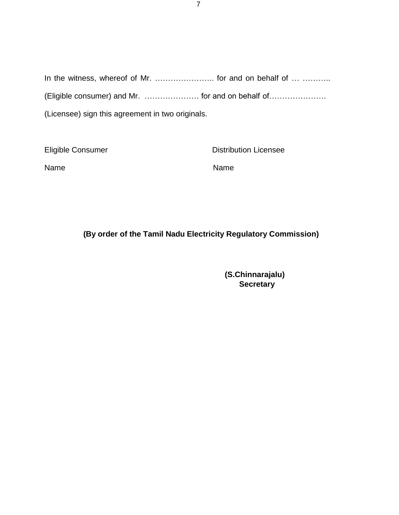In the witness, whereof of Mr. ........................... for and on behalf of ... ........... (Eligible consumer) and Mr. ………………… for and on behalf of………………….

(Licensee) sign this agreement in two originals.

Eligible Consumer **Distribution Licensee** 

Name Name

**(By order of the Tamil Nadu Electricity Regulatory Commission)**

**(S.Chinnarajalu) Secretary**